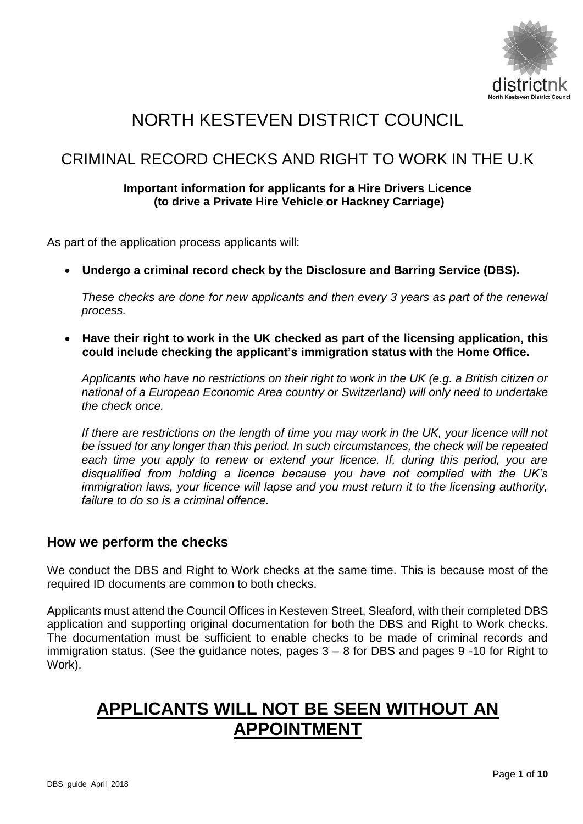

# NORTH KESTEVEN DISTRICT COUNCIL

## CRIMINAL RECORD CHECKS AND RIGHT TO WORK IN THE U.K

### **Important information for applicants for a Hire Drivers Licence (to drive a Private Hire Vehicle or Hackney Carriage)**

As part of the application process applicants will:

**Undergo a criminal record check by the Disclosure and Barring Service (DBS).** 

*These checks are done for new applicants and then every 3 years as part of the renewal process.*

 **Have their right to work in the UK checked as part of the licensing application, this could include checking the applicant's immigration status with the Home Office.**

*Applicants who have no restrictions on their right to work in the UK (e.g. a British citizen or national of a European Economic Area country or Switzerland) will only need to undertake the check once.*

*If there are restrictions on the length of time you may work in the UK, your licence will not be issued for any longer than this period. In such circumstances, the check will be repeated*  each time you apply to renew or extend your licence. If, during this period, you are *disqualified from holding a licence because you have not complied with the UK's immigration laws, your licence will lapse and you must return it to the licensing authority, failure to do so is a criminal offence.*

## **How we perform the checks**

We conduct the DBS and Right to Work checks at the same time. This is because most of the required ID documents are common to both checks.

Applicants must attend the Council Offices in Kesteven Street, Sleaford, with their completed DBS application and supporting original documentation for both the DBS and Right to Work checks. The documentation must be sufficient to enable checks to be made of criminal records and immigration status. (See the guidance notes, pages 3 – 8 for DBS and pages 9 -10 for Right to Work).

# **APPLICANTS WILL NOT BE SEEN WITHOUT AN APPOINTMENT**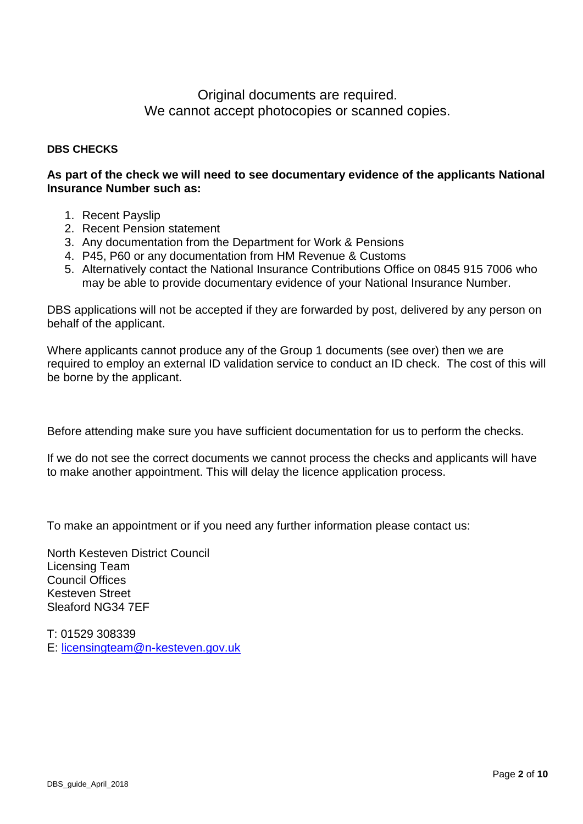## Original documents are required. We cannot accept photocopies or scanned copies.

### **DBS CHECKS**

### **As part of the check we will need to see documentary evidence of the applicants National Insurance Number such as:**

- 1. Recent Payslip
- 2. Recent Pension statement
- 3. Any documentation from the Department for Work & Pensions
- 4. P45, P60 or any documentation from HM Revenue & Customs
- 5. Alternatively contact the National Insurance Contributions Office on 0845 915 7006 who may be able to provide documentary evidence of your National Insurance Number.

DBS applications will not be accepted if they are forwarded by post, delivered by any person on behalf of the applicant.

Where applicants cannot produce any of the Group 1 documents (see over) then we are required to employ an external ID validation service to conduct an ID check. The cost of this will be borne by the applicant.

Before attending make sure you have sufficient documentation for us to perform the checks.

If we do not see the correct documents we cannot process the checks and applicants will have to make another appointment. This will delay the licence application process.

To make an appointment or if you need any further information please contact us:

North Kesteven District Council Licensing Team Council Offices Kesteven Street Sleaford NG34 7EF

T: 01529 308339 E: [licensingteam@n-kesteven.gov.uk](mailto:licensingteam@n-kesteven.gov.uk)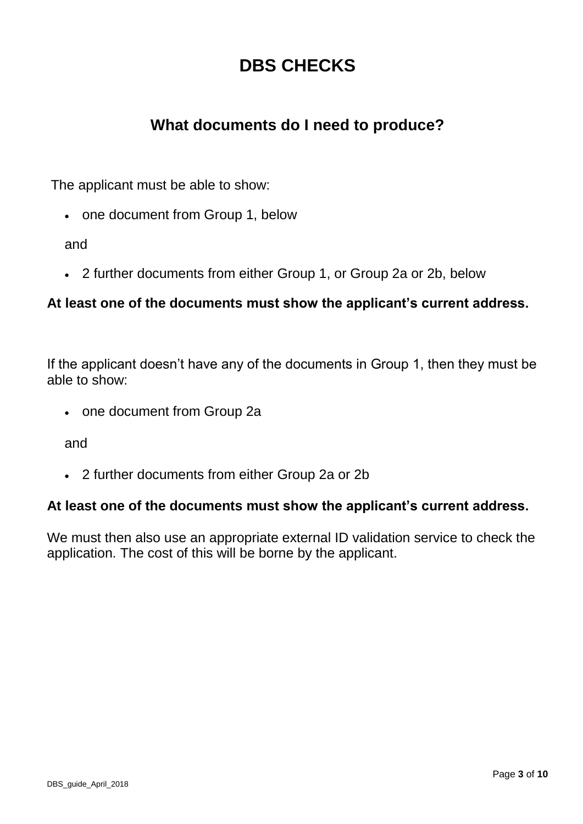# **DBS CHECKS**

## **What documents do I need to produce?**

The applicant must be able to show:

• one document from Group 1, below

and

2 further documents from either Group 1, or Group 2a or 2b, below

## **At least one of the documents must show the applicant's current address.**

If the applicant doesn't have any of the documents in Group 1, then they must be able to show:

• one document from Group 2a

and

2 further documents from either Group 2a or 2b

## **At least one of the documents must show the applicant's current address.**

We must then also use an appropriate external ID validation service to check the application. The cost of this will be borne by the applicant.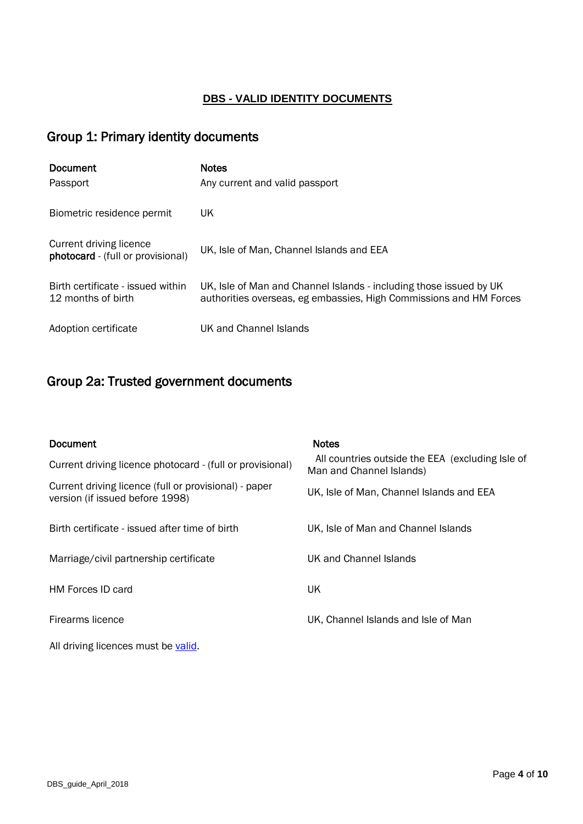### **DBS - VALID IDENTITY DOCUMENTS**

## Group 1: Primary identity documents

| <b>Document</b><br>Passport                                  | <b>Notes</b><br>Any current and valid passport                                                                                           |
|--------------------------------------------------------------|------------------------------------------------------------------------------------------------------------------------------------------|
| Biometric residence permit                                   | UK                                                                                                                                       |
| Current driving licence<br>photocard - (full or provisional) | UK, Isle of Man, Channel Islands and EEA                                                                                                 |
| Birth certificate - issued within<br>12 months of birth      | UK, Isle of Man and Channel Islands - including those issued by UK<br>authorities overseas, eg embassies, High Commissions and HM Forces |
| Adoption certificate                                         | UK and Channel Islands                                                                                                                   |

## Group 2a: Trusted government documents

| Document<br>Current driving licence photocard - (full or provisional)                    | <b>Notes</b><br>All countries outside the EEA (excluding Isle of<br>Man and Channel Islands) |
|------------------------------------------------------------------------------------------|----------------------------------------------------------------------------------------------|
| Current driving licence (full or provisional) - paper<br>version (if issued before 1998) | UK, Isle of Man, Channel Islands and EEA                                                     |
| Birth certificate - issued after time of birth                                           | UK, Isle of Man and Channel Islands                                                          |
| Marriage/civil partnership certificate                                                   | UK and Channel Islands                                                                       |
| <b>HM Forces ID card</b>                                                                 | UK.                                                                                          |
| Firearms licence                                                                         | UK, Channel Islands and Isle of Man                                                          |
| All driving licences must be valid.                                                      |                                                                                              |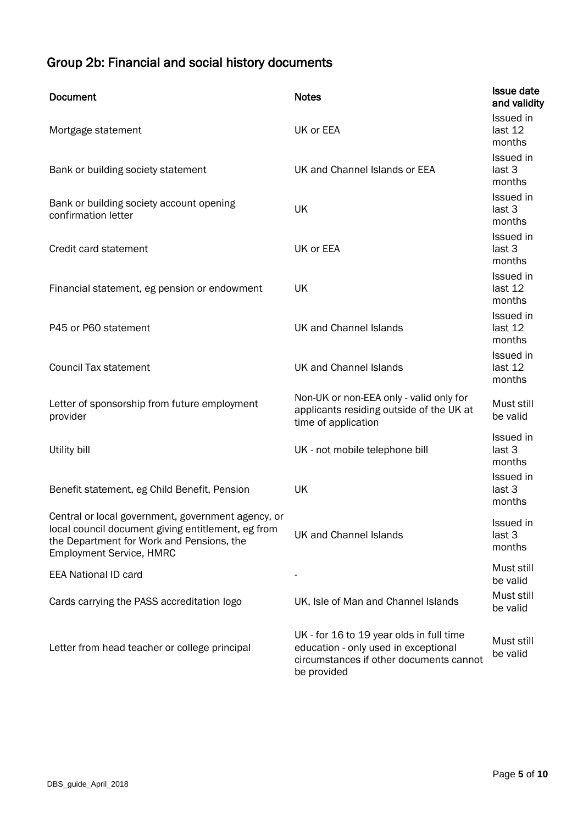## Group 2b: Financial and social history documents

| <b>Document</b>                                                                                                                                                                          | <b>Notes</b>                                                                                                                               | <b>Issue date</b><br>and validity |
|------------------------------------------------------------------------------------------------------------------------------------------------------------------------------------------|--------------------------------------------------------------------------------------------------------------------------------------------|-----------------------------------|
| Mortgage statement                                                                                                                                                                       | UK or EEA                                                                                                                                  | Issued in<br>last 12<br>months    |
| Bank or building society statement                                                                                                                                                       | UK and Channel Islands or EEA                                                                                                              | Issued in<br>last 3<br>months     |
| Bank or building society account opening<br>confirmation letter                                                                                                                          | UK                                                                                                                                         | Issued in<br>last 3<br>months     |
| Credit card statement                                                                                                                                                                    | UK or EEA                                                                                                                                  | Issued in<br>last 3<br>months     |
| Financial statement, eg pension or endowment                                                                                                                                             | UK                                                                                                                                         | Issued in<br>last 12<br>months    |
| P45 or P60 statement                                                                                                                                                                     | UK and Channel Islands                                                                                                                     | Issued in<br>last 12<br>months    |
| <b>Council Tax statement</b>                                                                                                                                                             | UK and Channel Islands                                                                                                                     | Issued in<br>last 12<br>months    |
| Letter of sponsorship from future employment<br>provider                                                                                                                                 | Non-UK or non-EEA only - valid only for<br>applicants residing outside of the UK at<br>time of application                                 | Must still<br>be valid            |
| Utility bill                                                                                                                                                                             | UK - not mobile telephone bill                                                                                                             | Issued in<br>last 3<br>months     |
| Benefit statement, eg Child Benefit, Pension                                                                                                                                             | UK                                                                                                                                         | Issued in<br>last 3<br>months     |
| Central or local government, government agency, or<br>local council document giving entitlement, eg from<br>the Department for Work and Pensions, the<br><b>Employment Service, HMRC</b> | UK and Channel Islands                                                                                                                     | Issued in<br>last 3<br>months     |
| <b>EEA National ID card</b>                                                                                                                                                              |                                                                                                                                            | Must still<br>be valid            |
| Cards carrying the PASS accreditation logo                                                                                                                                               | UK, Isle of Man and Channel Islands                                                                                                        | Must still<br>be valid            |
| Letter from head teacher or college principal                                                                                                                                            | UK - for 16 to 19 year olds in full time<br>education - only used in exceptional<br>circumstances if other documents cannot<br>be provided | Must still<br>be valid            |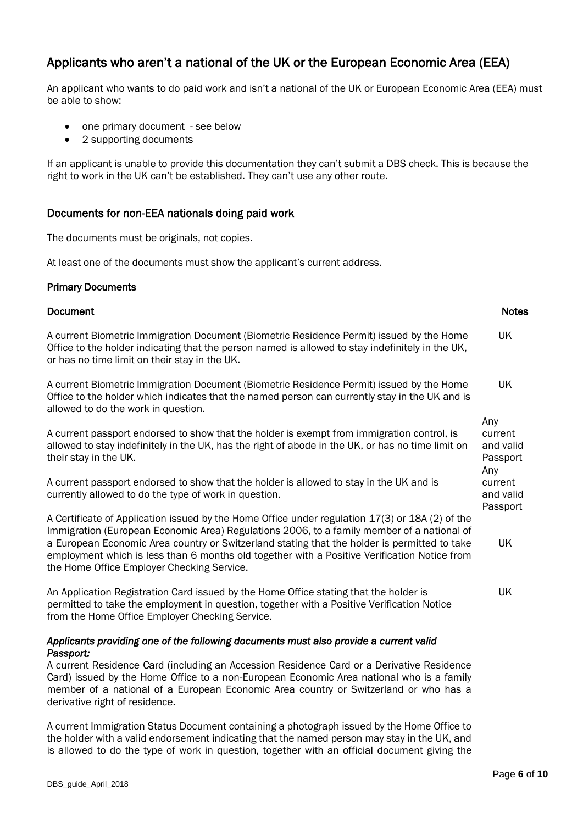## Applicants who aren't a national of the UK or the European Economic Area (EEA)

An applicant who wants to do paid work and isn't a national of the UK or European Economic Area (EEA) must be able to show:

- one primary document see below
- 2 supporting documents

If an applicant is unable to provide this documentation they can't submit a DBS check. This is because the right to work in the UK can't be established. They can't use any other route.

#### Documents for non-EEA nationals doing paid work

The documents must be originals, not copies.

At least one of the documents must show the applicant's current address.

#### Primary Documents

Document

#### A current Biometric Immigration Document (Biometric Residence Permit) issued by the Home Office to the holder indicating that the person named is allowed to stay indefinitely in the UK, or has no time limit on their stay in the UK. UK A current Biometric Immigration Document (Biometric Residence Permit) issued by the Home Office to the holder which indicates that the named person can currently stay in the UK and is allowed to do the work in question. UK A current passport endorsed to show that the holder is exempt from immigration control, is allowed to stay indefinitely in the UK, has the right of abode in the UK, or has no time limit on their stay in the UK. Any current and valid Passport A current passport endorsed to show that the holder is allowed to stay in the UK and is currently allowed to do the type of work in question. Any current and valid Passport A Certificate of Application issued by the Home Office under regulation 17(3) or 18A (2) of the Immigration (European Economic Area) Regulations 2006, to a family member of a national of a European Economic Area country or Switzerland stating that the holder is permitted to take employment which is less than 6 months old together with a Positive Verification Notice from the Home Office Employer Checking Service. UK An Application Registration Card issued by the Home Office stating that the holder is permitted to take the employment in question, together with a Positive Verification Notice from the Home Office Employer Checking Service. UK *Applicants providing one of the following documents must also provide a current valid Passport:*  A current Residence Card (including an Accession Residence Card or a Derivative Residence Card) issued by the Home Office to a non-European Economic Area national who is a family member of a national of a European Economic Area country or Switzerland or who has a derivative right of residence. A current Immigration Status Document containing a photograph issued by the Home Office to

the holder with a valid endorsement indicating that the named person may stay in the UK, and is allowed to do the type of work in question, together with an official document giving the Notes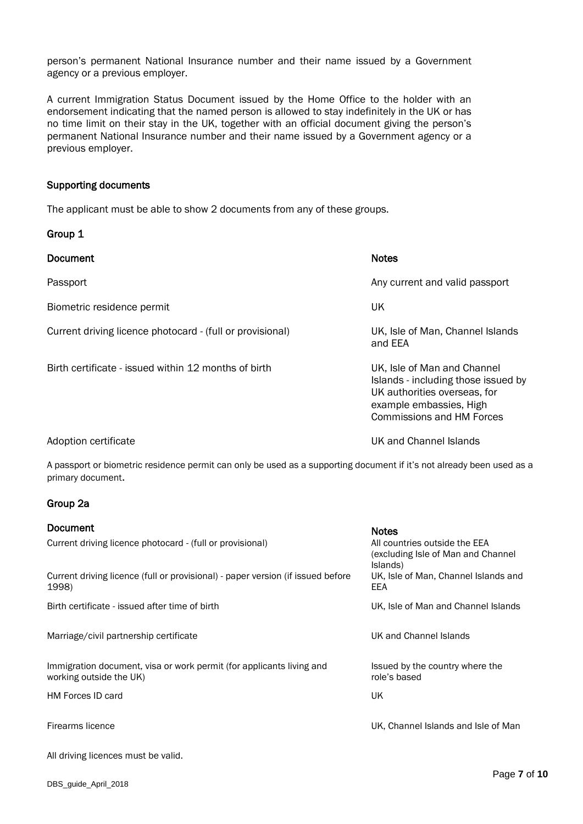person's permanent National Insurance number and their name issued by a Government agency or a previous employer.

A current Immigration Status Document issued by the Home Office to the holder with an endorsement indicating that the named person is allowed to stay indefinitely in the UK or has no time limit on their stay in the UK, together with an official document giving the person's permanent National Insurance number and their name issued by a Government agency or a previous employer.

#### Supporting documents

Group 1

The applicant must be able to show 2 documents from any of these groups.

| <b>Document</b>                                           | <b>Notes</b>                                                                                                                                                      |
|-----------------------------------------------------------|-------------------------------------------------------------------------------------------------------------------------------------------------------------------|
| Passport                                                  | Any current and valid passport                                                                                                                                    |
| Biometric residence permit                                | UK                                                                                                                                                                |
| Current driving licence photocard - (full or provisional) | UK, Isle of Man, Channel Islands<br>and EEA                                                                                                                       |
| Birth certificate - issued within 12 months of birth      | UK, Isle of Man and Channel<br>Islands - including those issued by<br>UK authorities overseas, for<br>example embassies, High<br><b>Commissions and HM Forces</b> |
| Adoption certificate                                      | UK and Channel Islands                                                                                                                                            |

A passport or biometric residence permit can only be used as a supporting document if it's not already been used as a primary document.

#### Group 2a

| Document<br>Current driving licence photocard - (full or provisional)                           | <b>Notes</b><br>All countries outside the EEA<br>(excluding Isle of Man and Channel |
|-------------------------------------------------------------------------------------------------|-------------------------------------------------------------------------------------|
| Current driving licence (full or provisional) - paper version (if issued before<br>1998)        | Islands)<br>UK, Isle of Man, Channel Islands and<br>EEA                             |
| Birth certificate - issued after time of birth                                                  | UK, Isle of Man and Channel Islands                                                 |
| Marriage/civil partnership certificate                                                          | UK and Channel Islands                                                              |
| Immigration document, visa or work permit (for applicants living and<br>working outside the UK) | Issued by the country where the<br>role's based                                     |
| <b>HM Forces ID card</b>                                                                        | UK                                                                                  |
| Firearms licence                                                                                | UK, Channel Islands and Isle of Man                                                 |

All driving licences must be valid.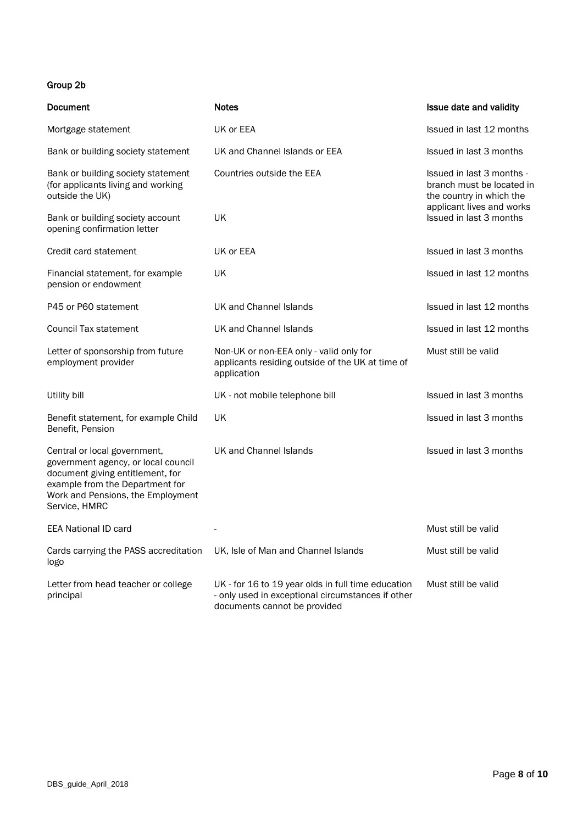### Group 2b

| Document                                                                                                                                                                                         | <b>Notes</b>                                                                                                                            | Issue date and validity                                                            |  |
|--------------------------------------------------------------------------------------------------------------------------------------------------------------------------------------------------|-----------------------------------------------------------------------------------------------------------------------------------------|------------------------------------------------------------------------------------|--|
| Mortgage statement                                                                                                                                                                               | UK or EEA                                                                                                                               | Issued in last 12 months                                                           |  |
| Bank or building society statement                                                                                                                                                               | UK and Channel Islands or EEA                                                                                                           | Issued in last 3 months                                                            |  |
| Bank or building society statement<br>(for applicants living and working<br>outside the UK)                                                                                                      | Countries outside the EEA                                                                                                               | Issued in last 3 months -<br>branch must be located in<br>the country in which the |  |
| Bank or building society account<br>opening confirmation letter                                                                                                                                  | UK                                                                                                                                      | applicant lives and works<br>Issued in last 3 months                               |  |
| Credit card statement                                                                                                                                                                            | UK or EEA                                                                                                                               | Issued in last 3 months                                                            |  |
| Financial statement, for example<br>pension or endowment                                                                                                                                         | UK                                                                                                                                      | Issued in last 12 months                                                           |  |
| P45 or P60 statement                                                                                                                                                                             | UK and Channel Islands                                                                                                                  | Issued in last 12 months                                                           |  |
| <b>Council Tax statement</b>                                                                                                                                                                     | UK and Channel Islands                                                                                                                  | Issued in last 12 months                                                           |  |
| Letter of sponsorship from future<br>employment provider                                                                                                                                         | Non-UK or non-EEA only - valid only for<br>applicants residing outside of the UK at time of<br>application                              | Must still be valid                                                                |  |
| Utility bill                                                                                                                                                                                     | UK - not mobile telephone bill                                                                                                          | Issued in last 3 months                                                            |  |
| Benefit statement, for example Child<br>Benefit, Pension                                                                                                                                         | UK                                                                                                                                      | Issued in last 3 months                                                            |  |
| Central or local government,<br>government agency, or local council<br>document giving entitlement, for<br>example from the Department for<br>Work and Pensions, the Employment<br>Service, HMRC | UK and Channel Islands                                                                                                                  | Issued in last 3 months                                                            |  |
| <b>EEA National ID card</b>                                                                                                                                                                      |                                                                                                                                         | Must still be valid                                                                |  |
| Cards carrying the PASS accreditation<br>logo                                                                                                                                                    | UK, Isle of Man and Channel Islands                                                                                                     | Must still be valid                                                                |  |
| Letter from head teacher or college<br>principal                                                                                                                                                 | UK - for 16 to 19 year olds in full time education<br>- only used in exceptional circumstances if other<br>documents cannot be provided | Must still be valid                                                                |  |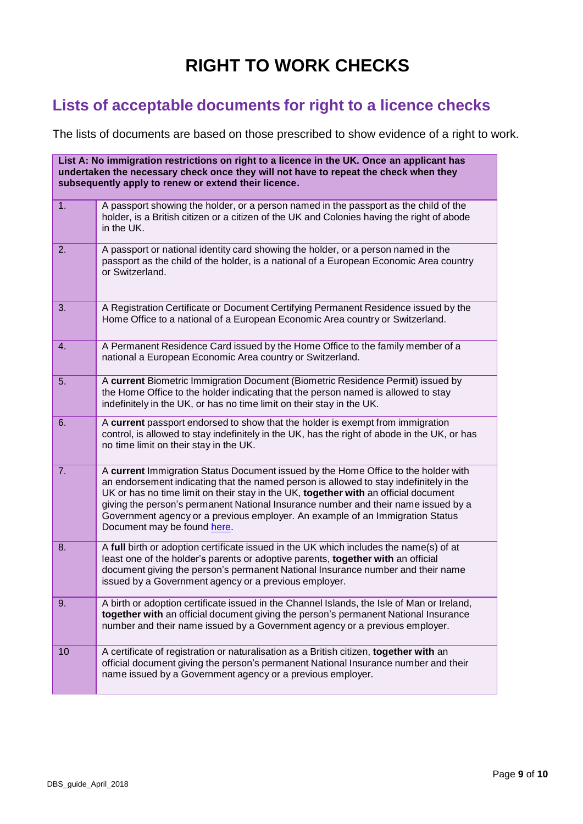# **RIGHT TO WORK CHECKS**

# **Lists of acceptable documents for right to a licence checks**

The lists of documents are based on those prescribed to show evidence of a right to work.

| List A: No immigration restrictions on right to a licence in the UK. Once an applicant has<br>undertaken the necessary check once they will not have to repeat the check when they<br>subsequently apply to renew or extend their licence. |                                                                                                                                                                                                                                                                                                                                                                                                                                                                           |
|--------------------------------------------------------------------------------------------------------------------------------------------------------------------------------------------------------------------------------------------|---------------------------------------------------------------------------------------------------------------------------------------------------------------------------------------------------------------------------------------------------------------------------------------------------------------------------------------------------------------------------------------------------------------------------------------------------------------------------|
| 1.                                                                                                                                                                                                                                         | A passport showing the holder, or a person named in the passport as the child of the<br>holder, is a British citizen or a citizen of the UK and Colonies having the right of abode<br>in the UK.                                                                                                                                                                                                                                                                          |
| 2.                                                                                                                                                                                                                                         | A passport or national identity card showing the holder, or a person named in the<br>passport as the child of the holder, is a national of a European Economic Area country<br>or Switzerland.                                                                                                                                                                                                                                                                            |
| 3.                                                                                                                                                                                                                                         | A Registration Certificate or Document Certifying Permanent Residence issued by the<br>Home Office to a national of a European Economic Area country or Switzerland.                                                                                                                                                                                                                                                                                                      |
| 4.                                                                                                                                                                                                                                         | A Permanent Residence Card issued by the Home Office to the family member of a<br>national a European Economic Area country or Switzerland.                                                                                                                                                                                                                                                                                                                               |
| 5.                                                                                                                                                                                                                                         | A current Biometric Immigration Document (Biometric Residence Permit) issued by<br>the Home Office to the holder indicating that the person named is allowed to stay<br>indefinitely in the UK, or has no time limit on their stay in the UK.                                                                                                                                                                                                                             |
| 6.                                                                                                                                                                                                                                         | A current passport endorsed to show that the holder is exempt from immigration<br>control, is allowed to stay indefinitely in the UK, has the right of abode in the UK, or has<br>no time limit on their stay in the UK.                                                                                                                                                                                                                                                  |
| 7.                                                                                                                                                                                                                                         | A current Immigration Status Document issued by the Home Office to the holder with<br>an endorsement indicating that the named person is allowed to stay indefinitely in the<br>UK or has no time limit on their stay in the UK, together with an official document<br>giving the person's permanent National Insurance number and their name issued by a<br>Government agency or a previous employer. An example of an Immigration Status<br>Document may be found here. |
| 8.                                                                                                                                                                                                                                         | A full birth or adoption certificate issued in the UK which includes the name(s) of at<br>least one of the holder's parents or adoptive parents, together with an official<br>document giving the person's permanent National Insurance number and their name<br>issued by a Government agency or a previous employer.                                                                                                                                                    |
| 9.                                                                                                                                                                                                                                         | A birth or adoption certificate issued in the Channel Islands, the Isle of Man or Ireland,<br>together with an official document giving the person's permanent National Insurance<br>number and their name issued by a Government agency or a previous employer.                                                                                                                                                                                                          |
| 10                                                                                                                                                                                                                                         | A certificate of registration or naturalisation as a British citizen, together with an<br>official document giving the person's permanent National Insurance number and their<br>name issued by a Government agency or a previous employer.                                                                                                                                                                                                                               |